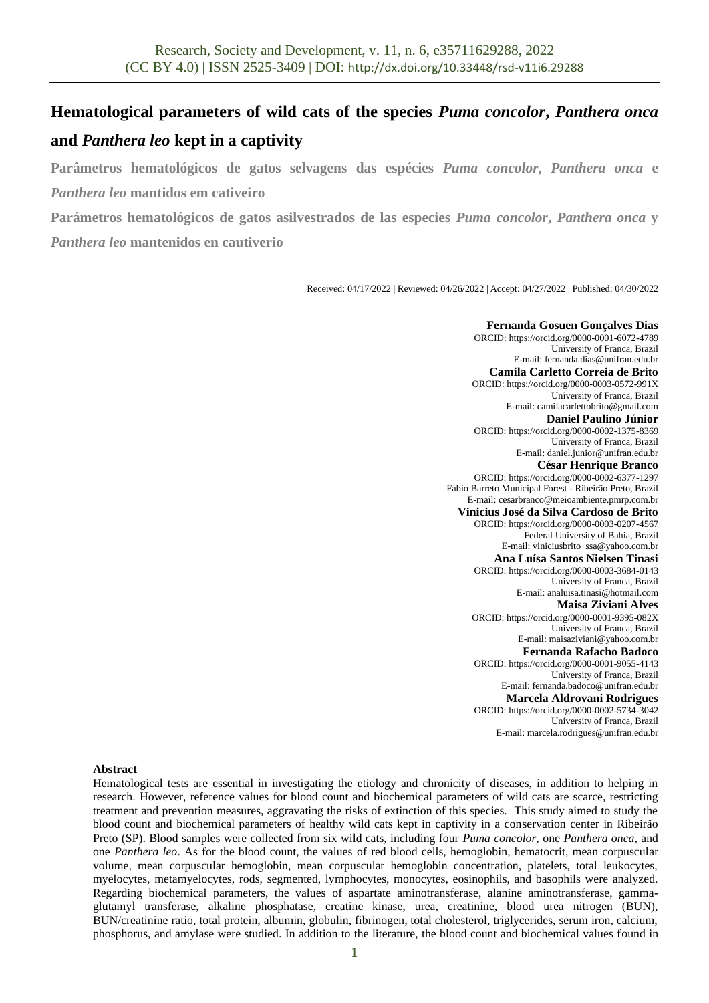# **Hematological parameters of wild cats of the species** *Puma concolor***,** *Panthera onca* **and** *Panthera leo* **kept in a captivity**

**Parâmetros hematológicos de gatos selvagens das espécies** *Puma concolor***,** *Panthera onca* **e**  *Panthera leo* **mantidos em cativeiro**

**Parámetros hematológicos de gatos asilvestrados de las especies** *Puma concolor***,** *Panthera onca* **y**  *Panthera leo* **mantenidos en cautiverio**

Received: 04/17/2022 | Reviewed: 04/26/2022 | Accept: 04/27/2022 | Published: 04/30/2022

**Fernanda Gosuen Gonçalves Dias** ORCID[: https://orcid.org/0000-0001-6072-4789](https://orcid.org/0000-0001-6072-4789) University of Franca, Brazil E-mail: fernanda.dias@unifran.edu.br **Camila Carletto Correia de Brito** ORCID[: https://orcid.org/0000-0003-0572-991X](https://orcid.org/0000-0003-0572-991X) University of Franca, Brazil E-mail[: camilacarlettobrito@gmail.com](mailto:camilacarlettobrito@gmail.com) **Daniel Paulino Júnior** ORCID[: https://orcid.org/0000-0002-1375-8369](https://orcid.org/0000-0002-1375-8369) University of Franca, Brazil E-mail[: daniel.junior@unifran.edu.br](mailto:daniel.junior@unifran.edu.br) **César Henrique Branco** ORCID[: https://orcid.org/0000-0002-6377-1297](https://orcid.org/0000-0002-6377-1297) Fábio Barreto Municipal Forest - Ribeirão Preto, Brazil E-mail: cesarbranco@meioambiente.pmrp.com.br **Vinicius José da Silva Cardoso de Brito** ORCID[: https://orcid.org/0000-0003-0207-4567](https://orcid.org/0000-0003-0207-4567) Federal University of Bahia, Brazil E-mail: viniciusbrito\_ssa@yahoo.com.br **Ana Luísa Santos Nielsen Tinasi** ORCID: https://orcid.org/0000-0003-3684-0143 University of Franca, Brazil E-mail: analuisa.tinasi@hotmail.com **Maisa Ziviani Alves** ORCID[: https://orcid.org/0000-0001-9395-082X](https://orcid.org/0000-0001-9395-082X) University of Franca, Brazil E-mail: maisaziviani@yahoo.com.br **Fernanda Rafacho Badoco** ORCID: <https://orcid.org/0000-0001-9055-4143> University of Franca, Brazil E-mail[: fernanda.badoco@unifran.edu.br](mailto:fernanda.badoco@unifran.edu.br) **Marcela Aldrovani Rodrigues** ORCID: <https://orcid.org/0000-0002-5734-3042> University of Franca, Brazil E-mail: marcela.rodrigues@unifran.edu.br

#### **Abstract**

Hematological tests are essential in investigating the etiology and chronicity of diseases, in addition to helping in research. However, reference values for blood count and biochemical parameters of wild cats are scarce, restricting treatment and prevention measures, aggravating the risks of extinction of this species. This study aimed to study the blood count and biochemical parameters of healthy wild cats kept in captivity in a conservation center in Ribeirão Preto (SP). Blood samples were collected from six wild cats, including four *Puma concolor,* one *Panthera onca*, and one *Panthera leo*. As for the blood count, the values of red blood cells, hemoglobin, hematocrit, mean corpuscular volume, mean corpuscular hemoglobin, mean corpuscular hemoglobin concentration, platelets, total leukocytes, myelocytes, metamyelocytes, rods, segmented, lymphocytes, monocytes, eosinophils, and basophils were analyzed. Regarding biochemical parameters, the values of aspartate aminotransferase, alanine aminotransferase, gammaglutamyl transferase, alkaline phosphatase, creatine kinase, urea, creatinine, blood urea nitrogen (BUN), BUN/creatinine ratio, total protein, albumin, globulin, fibrinogen, total cholesterol, triglycerides, serum iron, calcium, phosphorus, and amylase were studied. In addition to the literature, the blood count and biochemical values found in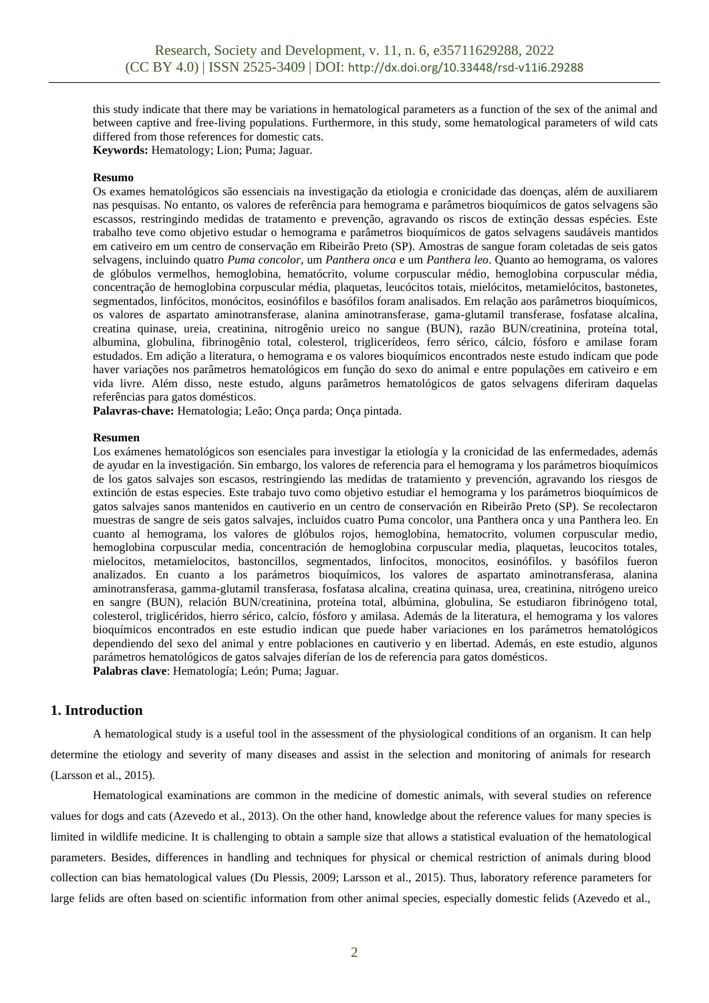this study indicate that there may be variations in hematological parameters as a function of the sex of the animal and between captive and free-living populations. Furthermore, in this study, some hematological parameters of wild cats differed from those references for domestic cats.

**Keywords:** Hematology; Lion; Puma; Jaguar.

#### **Resumo**

Os exames hematológicos são essenciais na investigação da etiologia e cronicidade das doenças, além de auxiliarem nas pesquisas. No entanto, os valores de referência para hemograma e parâmetros bioquímicos de gatos selvagens são escassos, restringindo medidas de tratamento e prevenção, agravando os riscos de extinção dessas espécies. Este trabalho teve como objetivo estudar o hemograma e parâmetros bioquímicos de gatos selvagens saudáveis mantidos em cativeiro em um centro de conservação em Ribeirão Preto (SP). Amostras de sangue foram coletadas de seis gatos selvagens, incluindo quatro *Puma concolor*, um *Panthera onca* e um *Panthera leo*. Quanto ao hemograma, os valores de glóbulos vermelhos, hemoglobina, hematócrito, volume corpuscular médio, hemoglobina corpuscular média, concentração de hemoglobina corpuscular média, plaquetas, leucócitos totais, mielócitos, metamielócitos, bastonetes, segmentados, linfócitos, monócitos, eosinófilos e basófilos foram analisados. Em relação aos parâmetros bioquímicos, os valores de aspartato aminotransferase, alanina aminotransferase, gama-glutamil transferase, fosfatase alcalina, creatina quinase, ureia, creatinina, nitrogênio ureico no sangue (BUN), razão BUN/creatinina, proteína total, albumina, globulina, fibrinogênio total, colesterol, triglicerídeos, ferro sérico, cálcio, fósforo e amilase foram estudados. Em adição a literatura, o hemograma e os valores bioquímicos encontrados neste estudo indicam que pode haver variações nos parâmetros hematológicos em função do sexo do animal e entre populações em cativeiro e em vida livre. Além disso, neste estudo, alguns parâmetros hematológicos de gatos selvagens diferiram daquelas referências para gatos domésticos.

**Palavras-chave:** Hematologia; Leão; Onça parda; Onça pintada.

#### **Resumen**

Los exámenes hematológicos son esenciales para investigar la etiología y la cronicidad de las enfermedades, además de ayudar en la investigación. Sin embargo, los valores de referencia para el hemograma y los parámetros bioquímicos de los gatos salvajes son escasos, restringiendo las medidas de tratamiento y prevención, agravando los riesgos de extinción de estas especies. Este trabajo tuvo como objetivo estudiar el hemograma y los parámetros bioquímicos de gatos salvajes sanos mantenidos en cautiverio en un centro de conservación en Ribeirão Preto (SP). Se recolectaron muestras de sangre de seis gatos salvajes, incluidos cuatro Puma concolor, una Panthera onca y una Panthera leo. En cuanto al hemograma, los valores de glóbulos rojos, hemoglobina, hematocrito, volumen corpuscular medio, hemoglobina corpuscular media, concentración de hemoglobina corpuscular media, plaquetas, leucocitos totales, mielocitos, metamielocitos, bastoncillos, segmentados, linfocitos, monocitos, eosinófilos. y basófilos fueron analizados. En cuanto a los parámetros bioquímicos, los valores de aspartato aminotransferasa, alanina aminotransferasa, gamma-glutamil transferasa, fosfatasa alcalina, creatina quinasa, urea, creatinina, nitrógeno ureico en sangre (BUN), relación BUN/creatinina, proteína total, albúmina, globulina, Se estudiaron fibrinógeno total, colesterol, triglicéridos, hierro sérico, calcio, fósforo y amilasa. Además de la literatura, el hemograma y los valores bioquímicos encontrados en este estudio indican que puede haber variaciones en los parámetros hematológicos dependiendo del sexo del animal y entre poblaciones en cautiverio y en libertad. Además, en este estudio, algunos parámetros hematológicos de gatos salvajes diferían de los de referencia para gatos domésticos. **Palabras clave**: Hematología; León; Puma; Jaguar.

# **1. Introduction**

A hematological study is a useful tool in the assessment of the physiological conditions of an organism. It can help determine the etiology and severity of many diseases and assist in the selection and monitoring of animals for research (Larsson et al., 2015).

Hematological examinations are common in the medicine of domestic animals, with several studies on reference values for dogs and cats (Azevedo et al., 2013). On the other hand, knowledge about the reference values for many species is limited in wildlife medicine. It is challenging to obtain a sample size that allows a statistical evaluation of the hematological parameters. Besides, differences in handling and techniques for physical or chemical restriction of animals during blood collection can bias hematological values (Du Plessis, 2009; Larsson et al., 2015). Thus, laboratory reference parameters for large felids are often based on scientific information from other animal species, especially domestic felids (Azevedo et al.,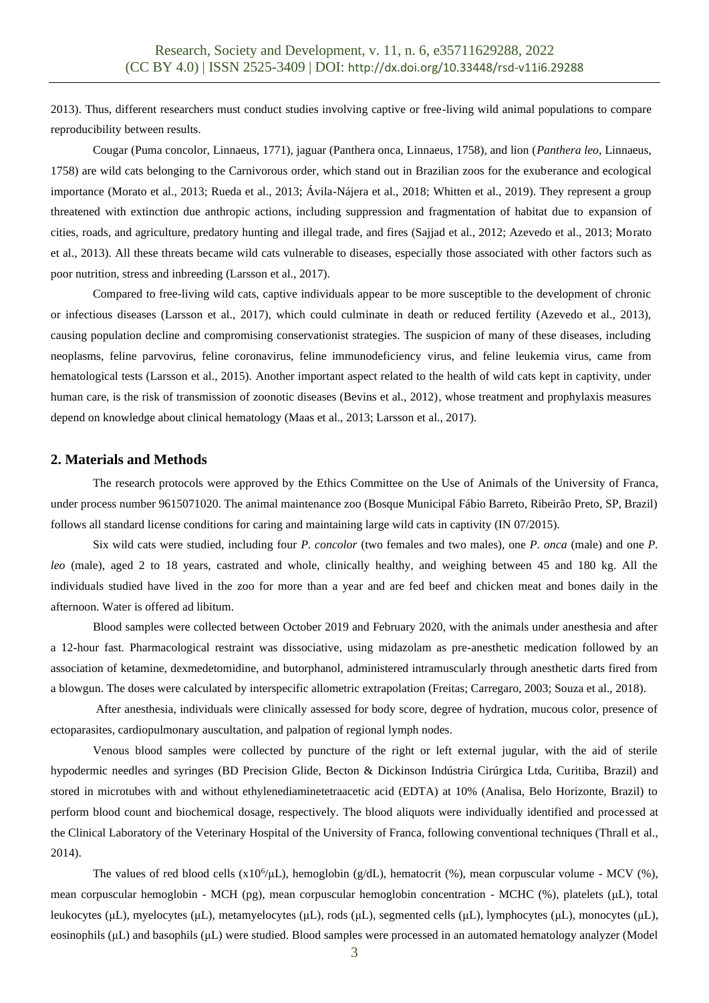2013). Thus, different researchers must conduct studies involving captive or free-living wild animal populations to compare reproducibility between results.

Cougar (Puma concolor, Linnaeus, 1771), jaguar (Panthera onca, Linnaeus, 1758), and lion (*Panthera leo*, Linnaeus, 1758) are wild cats belonging to the Carnivorous order, which stand out in Brazilian zoos for the exuberance and ecological importance (Morato et al., 2013; Rueda et al., 2013; Ávila-Nájera et al., 2018; Whitten et al., 2019). They represent a group threatened with extinction due anthropic actions, including suppression and fragmentation of habitat due to expansion of cities, roads, and agriculture, predatory hunting and illegal trade, and fires (Sajjad et al., 2012; Azevedo et al., 2013; Morato et al., 2013). All these threats became wild cats vulnerable to diseases, especially those associated with other factors such as poor nutrition, stress and inbreeding (Larsson et al., 2017).

Compared to free-living wild cats, captive individuals appear to be more susceptible to the development of chronic or infectious diseases (Larsson et al., 2017), which could culminate in death or reduced fertility (Azevedo et al., 2013), causing population decline and compromising conservationist strategies. The suspicion of many of these diseases, including neoplasms, feline parvovirus, feline coronavirus, feline immunodeficiency virus, and feline leukemia virus, came from hematological tests (Larsson et al., 2015). Another important aspect related to the health of wild cats kept in captivity, under human care, is the risk of transmission of zoonotic diseases (Bevins et al., 2012), whose treatment and prophylaxis measures depend on knowledge about clinical hematology (Maas et al., 2013; Larsson et al., 2017).

## **2. Materials and Methods**

The research protocols were approved by the Ethics Committee on the Use of Animals of the University of Franca, under process number 9615071020. The animal maintenance zoo (Bosque Municipal Fábio Barreto, Ribeirão Preto, SP, Brazil) follows all standard license conditions for caring and maintaining large wild cats in captivity (IN 07/2015).

Six wild cats were studied, including four *P. concolor* (two females and two males), one *P. onca* (male) and one *P. leo* (male), aged 2 to 18 years, castrated and whole, clinically healthy, and weighing between 45 and 180 kg. All the individuals studied have lived in the zoo for more than a year and are fed beef and chicken meat and bones daily in the afternoon. Water is offered ad libitum.

Blood samples were collected between October 2019 and February 2020, with the animals under anesthesia and after a 12-hour fast. Pharmacological restraint was dissociative, using midazolam as pre-anesthetic medication followed by an association of ketamine, dexmedetomidine, and butorphanol, administered intramuscularly through anesthetic darts fired from a blowgun. The doses were calculated by interspecific allometric extrapolation (Freitas; Carregaro, 2003; Souza et al., 2018).

After anesthesia, individuals were clinically assessed for body score, degree of hydration, mucous color, presence of ectoparasites, cardiopulmonary auscultation, and palpation of regional lymph nodes.

Venous blood samples were collected by puncture of the right or left external jugular, with the aid of sterile hypodermic needles and syringes (BD Precision Glide, Becton & Dickinson Indústria Cirúrgica Ltda, Curitiba, Brazil) and stored in microtubes with and without ethylenediaminetetraacetic acid (EDTA) at 10% (Analisa, Belo Horizonte, Brazil) to perform blood count and biochemical dosage, respectively. The blood aliquots were individually identified and processed at the Clinical Laboratory of the Veterinary Hospital of the University of Franca, following conventional techniques (Thrall et al., 2014).

The values of red blood cells  $(x10^6/\mu L)$ , hemoglobin (g/dL), hematocrit (%), mean corpuscular volume - MCV (%), mean corpuscular hemoglobin - MCH (pg), mean corpuscular hemoglobin concentration - MCHC (%), platelets (μL), total leukocytes (μL), myelocytes (μL), metamyelocytes (μL), rods (μL), segmented cells (μL), lymphocytes (μL), monocytes (μL), eosinophils (μL) and basophils (μL) were studied. Blood samples were processed in an automated hematology analyzer (Model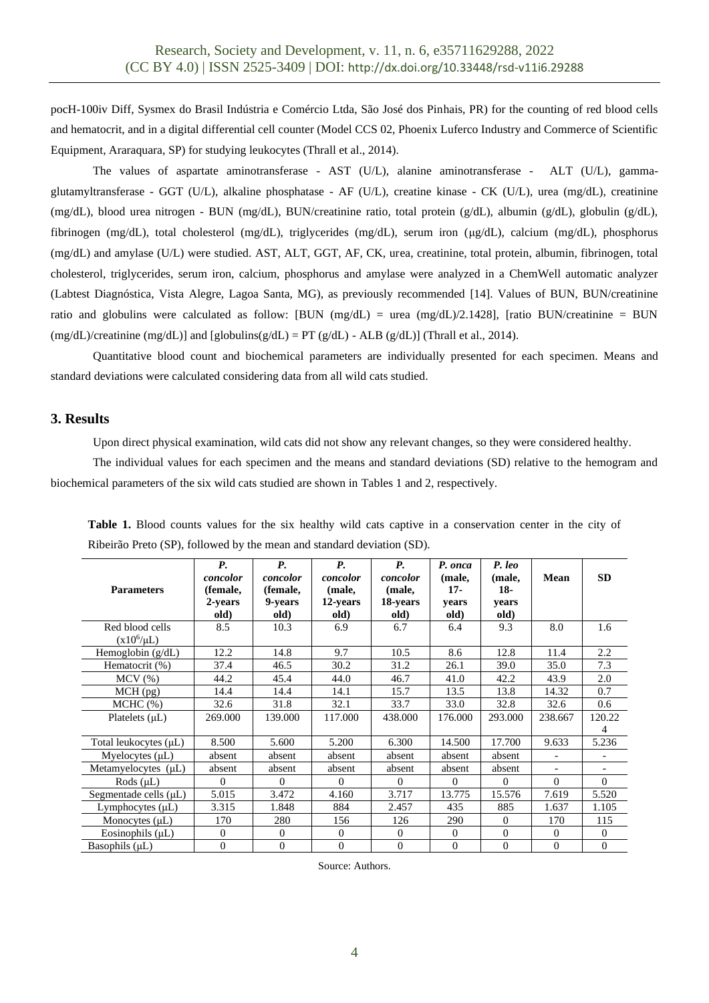pocH-100iv Diff, Sysmex do Brasil Indústria e Comércio Ltda, São José dos Pinhais, PR) for the counting of red blood cells and hematocrit, and in a digital differential cell counter (Model CCS 02, Phoenix Luferco Industry and Commerce of Scientific Equipment, Araraquara, SP) for studying leukocytes (Thrall et al., 2014).

The values of aspartate aminotransferase - AST (U/L), alanine aminotransferase - ALT (U/L), gammaglutamyltransferase - GGT (U/L), alkaline phosphatase - AF (U/L), creatine kinase - CK (U/L), urea (mg/dL), creatinine (mg/dL), blood urea nitrogen - BUN (mg/dL), BUN/creatinine ratio, total protein (g/dL), albumin (g/dL), globulin (g/dL), fibrinogen (mg/dL), total cholesterol (mg/dL), triglycerides (mg/dL), serum iron (μg/dL), calcium (mg/dL), phosphorus (mg/dL) and amylase (U/L) were studied. AST, ALT, GGT, AF, CK, urea, creatinine, total protein, albumin, fibrinogen, total cholesterol, triglycerides, serum iron, calcium, phosphorus and amylase were analyzed in a ChemWell automatic analyzer (Labtest Diagnóstica, Vista Alegre, Lagoa Santa, MG), as previously recommended [14]. Values of BUN, BUN/creatinine ratio and globulins were calculated as follow: [BUN (mg/dL) = urea (mg/dL)/2.1428], [ratio BUN/creatinine = BUN  $(mg/dL)/c$ reatinine  $(mg/dL)$ ] and  $[globulins(g/dL) = PT(g/dL) - ALB (g/dL)]$  (Thrall et al., 2014).

Quantitative blood count and biochemical parameters are individually presented for each specimen. Means and standard deviations were calculated considering data from all wild cats studied.

## **3. Results**

Upon direct physical examination, wild cats did not show any relevant changes, so they were considered healthy.

The individual values for each specimen and the means and standard deviations (SD) relative to the hemogram and biochemical parameters of the six wild cats studied are shown in Tables 1 and 2, respectively.

| <b>Parameters</b>                  | $P_{\rm r}$<br>concolor<br>(female,<br>2-years<br>old) | <b>P.</b><br>concolor<br>(female,<br>9-years<br>old) | <b>P.</b><br>concolor<br>(male,<br>12-years<br>old) | <b>P.</b><br>concolor<br>(male,<br>18-years<br>old) | P. onca<br>(male,<br>$17-$<br>vears<br>old) | P. leo<br>(male,<br>$18-$<br>vears<br>old) | Mean           | <b>SD</b>    |
|------------------------------------|--------------------------------------------------------|------------------------------------------------------|-----------------------------------------------------|-----------------------------------------------------|---------------------------------------------|--------------------------------------------|----------------|--------------|
| Red blood cells<br>$(x10^6/\mu L)$ | 8.5                                                    | 10.3                                                 | 6.9                                                 | 6.7                                                 | 6.4                                         | 9.3                                        | 8.0            | 1.6          |
| Hemoglobin $(g/dL)$                | 12.2                                                   | 14.8                                                 | 9.7                                                 | 10.5                                                | 8.6                                         | 12.8                                       | 11.4           | 2.2          |
| Hematocrit (%)                     | 37.4                                                   | 46.5                                                 | 30.2                                                | 31.2                                                | 26.1                                        | 39.0                                       | 35.0           | 7.3          |
| $MCV$ $(\%)$                       | 44.2                                                   | 45.4                                                 | 44.0                                                | 46.7                                                | 41.0                                        | 42.2                                       | 43.9           | 2.0          |
| MCH (pg)                           | 14.4                                                   | 14.4                                                 | 14.1                                                | 15.7                                                | 13.5                                        | 13.8                                       | 14.32          | 0.7          |
| MCHC (%)                           | 32.6                                                   | 31.8                                                 | 32.1                                                | 33.7                                                | 33.0                                        | 32.8                                       | 32.6           | 0.6          |
| Platelets $(\mu L)$                | 269.000                                                | 139.000                                              | 117.000                                             | 438.000                                             | 176.000                                     | 293.000                                    | 238.667        | 120.22<br>4  |
| Total leukocytes (µL)              | 8.500                                                  | 5.600                                                | 5.200                                               | 6.300                                               | 14.500                                      | 17.700                                     | 9.633          | 5.236        |
| Myelocytes $(\mu L)$               | absent                                                 | absent                                               | absent                                              | absent                                              | absent                                      | absent                                     | $\blacksquare$ |              |
| Metamyelocytes (µL)                | absent                                                 | absent                                               | absent                                              | absent                                              | absent                                      | absent                                     | $\overline{a}$ |              |
| Rods $(\mu L)$                     | $\Omega$                                               | $\Omega$                                             | $\Omega$                                            | $\Omega$                                            | $\Omega$                                    | $\Omega$                                   | $\Omega$       | $\Omega$     |
| Segmentade cells $(\mu L)$         | 5.015                                                  | 3.472                                                | 4.160                                               | 3.717                                               | 13.775                                      | 15.576                                     | 7.619          | 5.520        |
| Lymphocytes $(\mu L)$              | 3.315                                                  | 1.848                                                | 884                                                 | 2.457                                               | 435                                         | 885                                        | 1.637          | 1.105        |
| Monocytes $(\mu L)$                | 170                                                    | 280                                                  | 156                                                 | 126                                                 | 290                                         | $\overline{0}$                             | 170            | 115          |
| Eosinophils $(\mu L)$              | $\Omega$                                               | $\Omega$                                             | $\Omega$                                            | $\Omega$                                            | $\Omega$                                    | $\Omega$                                   | $\Omega$       | $\Omega$     |
| Basophils $(\mu L)$                | $\Omega$                                               | $\Omega$                                             | $\overline{0}$                                      | $\overline{0}$                                      | $\Omega$                                    | $\overline{0}$                             | $\theta$       | $\mathbf{0}$ |

**Table 1.** Blood counts values for the six healthy wild cats captive in a conservation center in the city of Ribeirão Preto (SP), followed by the mean and standard deviation (SD).

Source: Authors.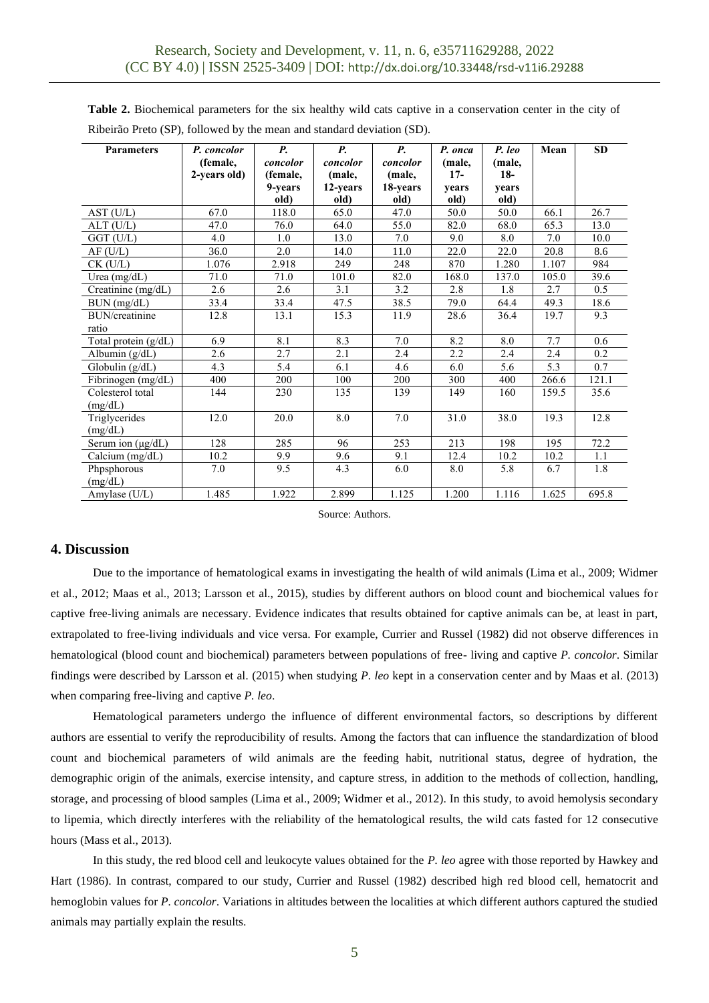| Table 2. Biochemical parameters for the six healthy wild cats captive in a conservation center in the city of |  |  |  |
|---------------------------------------------------------------------------------------------------------------|--|--|--|
| Ribeirão Preto (SP), followed by the mean and standard deviation (SD).                                        |  |  |  |

| <b>Parameters</b>     | P. concolor<br>(female,<br>2-years old) | <i>P</i> .<br>concolor<br>(female,<br>9-years<br>old) | <b>P.</b><br>concolor<br>(male,<br>12-years<br>old) | <b>P.</b><br>concolor<br>(male,<br>18-years<br>old) | P. onca<br>(male,<br>$17-$<br>years<br>old) | P. leo<br>(male,<br>$18-$<br>years<br>old) | Mean  | <b>SD</b> |
|-----------------------|-----------------------------------------|-------------------------------------------------------|-----------------------------------------------------|-----------------------------------------------------|---------------------------------------------|--------------------------------------------|-------|-----------|
| AST (U/L)             | 67.0                                    | 118.0                                                 | 65.0                                                | 47.0                                                | 50.0                                        | 50.0                                       | 66.1  | 26.7      |
| $ALT$ (U/L)           | 47.0                                    | 76.0                                                  | 64.0                                                | 55.0                                                | 82.0                                        | 68.0                                       | 65.3  | 13.0      |
| $GGT$ (U/L)           | 4.0                                     | 1.0                                                   | 13.0                                                | 7.0                                                 | 9.0                                         | 8.0                                        | 7.0   | 10.0      |
| AF(U/L)               | 36.0                                    | 2.0                                                   | 14.0                                                | 11.0                                                | 22.0                                        | 22.0                                       | 20.8  | 8.6       |
| $CK$ (U/L)            | 1.076                                   | 2.918                                                 | 249                                                 | 248                                                 | 870                                         | 1.280                                      | 1.107 | 984       |
| Urea $(mg/dL)$        | 71.0                                    | 71.0                                                  | 101.0                                               | 82.0                                                | 168.0                                       | 137.0                                      | 105.0 | 39.6      |
| Creatinine (mg/dL)    | 2.6                                     | 2.6                                                   | 3.1                                                 | 3.2                                                 | 2.8                                         | 1.8                                        | 2.7   | 0.5       |
| BUN (mg/dL)           | 33.4                                    | 33.4                                                  | 47.5                                                | 38.5                                                | 79.0                                        | 64.4                                       | 49.3  | 18.6      |
| <b>BUN/creatinine</b> | 12.8                                    | 13.1                                                  | 15.3                                                | 11.9                                                | 28.6                                        | 36.4                                       | 19.7  | 9.3       |
| ratio                 |                                         |                                                       |                                                     |                                                     |                                             |                                            |       |           |
| Total protein (g/dL)  | 6.9                                     | 8.1                                                   | 8.3                                                 | 7.0                                                 | 8.2                                         | 8.0                                        | 7.7   | 0.6       |
| Albumin (g/dL)        | 2.6                                     | 2.7                                                   | 2.1                                                 | 2.4                                                 | 2.2                                         | 2.4                                        | 2.4   | 0.2       |
| Globulin (g/dL)       | 4.3                                     | 5.4                                                   | 6.1                                                 | 4.6                                                 | 6.0                                         | 5.6                                        | 5.3   | 0.7       |
| Fibrinogen (mg/dL)    | 400                                     | 200                                                   | 100                                                 | 200                                                 | 300                                         | 400                                        | 266.6 | 121.1     |
| Colesterol total      | 144                                     | 230                                                   | 135                                                 | 139                                                 | 149                                         | 160                                        | 159.5 | 35.6      |
| (mg/dL)               |                                         |                                                       |                                                     |                                                     |                                             |                                            |       |           |
| Triglycerides         | 12.0                                    | 20.0                                                  | 8.0                                                 | 7.0                                                 | 31.0                                        | 38.0                                       | 19.3  | 12.8      |
| (mg/dL)               |                                         |                                                       |                                                     |                                                     |                                             |                                            |       |           |
| Serum ion (µg/dL)     | 128                                     | 285                                                   | 96                                                  | 253                                                 | 213                                         | 198                                        | 195   | 72.2      |
| Calcium (mg/dL)       | 10.2                                    | 9.9                                                   | 9.6                                                 | 9.1                                                 | 12.4                                        | 10.2                                       | 10.2  | 1.1       |
| Phpsphorous           | 7.0                                     | 9.5                                                   | 4.3                                                 | 6.0                                                 | 8.0                                         | 5.8                                        | 6.7   | 1.8       |
| (mg/dL)               |                                         |                                                       |                                                     |                                                     |                                             |                                            |       |           |
| Amylase $(U/L)$       | 1.485                                   | 1.922                                                 | 2.899                                               | 1.125                                               | 1.200                                       | 1.116                                      | 1.625 | 695.8     |

Source: Authors.

# **4. Discussion**

Due to the importance of hematological exams in investigating the health of wild animals (Lima et al., 2009; Widmer et al., 2012; Maas et al., 2013; Larsson et al., 2015), studies by different authors on blood count and biochemical values for captive free-living animals are necessary. Evidence indicates that results obtained for captive animals can be, at least in part, extrapolated to free-living individuals and vice versa. For example, Currier and Russel (1982) did not observe differences in hematological (blood count and biochemical) parameters between populations of free- living and captive *P. concolor*. Similar findings were described by Larsson et al*.* (2015) when studying *P. leo* kept in a conservation center and by Maas et al*.* (2013) when comparing free-living and captive *P. leo*.

Hematological parameters undergo the influence of different environmental factors, so descriptions by different authors are essential to verify the reproducibility of results. Among the factors that can influence the standardization of blood count and biochemical parameters of wild animals are the feeding habit, nutritional status, degree of hydration, the demographic origin of the animals, exercise intensity, and capture stress, in addition to the methods of collection, handling, storage, and processing of blood samples (Lima et al., 2009; Widmer et al., 2012). In this study, to avoid hemolysis secondary to lipemia, which directly interferes with the reliability of the hematological results, the wild cats fasted for 12 consecutive hours (Mass et al., 2013).

In this study, the red blood cell and leukocyte values obtained for the *P. leo* agree with those reported by Hawkey and Hart (1986). In contrast, compared to our study, Currier and Russel (1982) described high red blood cell, hematocrit and hemoglobin values for *P. concolor*. Variations in altitudes between the localities at which different authors captured the studied animals may partially explain the results.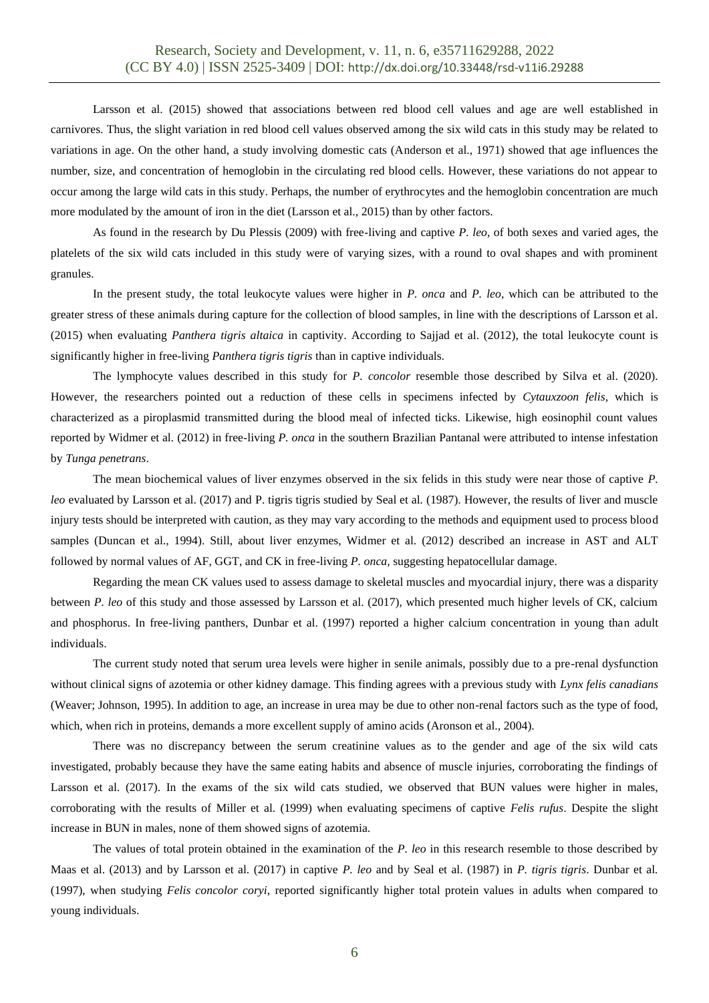Larsson et al. (2015) showed that associations between red blood cell values and age are well established in carnivores. Thus, the slight variation in red blood cell values observed among the six wild cats in this study may be related to variations in age. On the other hand, a study involving domestic cats (Anderson et al., 1971) showed that age influences the number, size, and concentration of hemoglobin in the circulating red blood cells. However, these variations do not appear to occur among the large wild cats in this study. Perhaps, the number of erythrocytes and the hemoglobin concentration are much more modulated by the amount of iron in the diet (Larsson et al., 2015) than by other factors.

As found in the research by Du Plessis (2009) with free-living and captive *P. leo*, of both sexes and varied ages, the platelets of the six wild cats included in this study were of varying sizes, with a round to oval shapes and with prominent granules.

In the present study, the total leukocyte values were higher in *P. onca* and *P. leo*, which can be attributed to the greater stress of these animals during capture for the collection of blood samples, in line with the descriptions of Larsson et al*.* (2015) when evaluating *Panthera tigris altaica* in captivity. According to Sajjad et al. (2012), the total leukocyte count is significantly higher in free-living *Panthera tigris tigris* than in captive individuals.

The lymphocyte values described in this study for *P. concolor* resemble those described by Silva et al. (2020). However, the researchers pointed out a reduction of these cells in specimens infected by *Cytauxzoon felis*, which is characterized as a piroplasmid transmitted during the blood meal of infected ticks. Likewise, high eosinophil count values reported by Widmer et al*.* (2012) in free-living *P. onca* in the southern Brazilian Pantanal were attributed to intense infestation by *Tunga penetrans*.

The mean biochemical values of liver enzymes observed in the six felids in this study were near those of captive *P. leo* evaluated by Larsson et al. (2017) and P. tigris tigris studied by Seal et al*.* (1987). However, the results of liver and muscle injury tests should be interpreted with caution, as they may vary according to the methods and equipment used to process blood samples (Duncan et al., 1994). Still, about liver enzymes, Widmer et al. (2012) described an increase in AST and ALT followed by normal values of AF, GGT, and CK in free-living *P. onca,* suggesting hepatocellular damage.

Regarding the mean CK values used to assess damage to skeletal muscles and myocardial injury, there was a disparity between *P. leo* of this study and those assessed by Larsson et al. (2017), which presented much higher levels of CK, calcium and phosphorus. In free-living panthers, Dunbar et al. (1997) reported a higher calcium concentration in young than adult individuals.

The current study noted that serum urea levels were higher in senile animals, possibly due to a pre-renal dysfunction without clinical signs of azotemia or other kidney damage. This finding agrees with a previous study with *Lynx felis canadians* (Weaver; Johnson, 1995). In addition to age, an increase in urea may be due to other non-renal factors such as the type of food, which, when rich in proteins, demands a more excellent supply of amino acids (Aronson et al., 2004).

There was no discrepancy between the serum creatinine values as to the gender and age of the six wild cats investigated, probably because they have the same eating habits and absence of muscle injuries, corroborating the findings of Larsson et al. (2017). In the exams of the six wild cats studied, we observed that BUN values were higher in males, corroborating with the results of Miller et al. (1999) when evaluating specimens of captive *Felis rufus*. Despite the slight increase in BUN in males, none of them showed signs of azotemia.

The values of total protein obtained in the examination of the *P. leo* in this research resemble to those described by Maas et al. (2013) and by Larsson et al. (2017) in captive *P. leo* and by Seal et al. (1987) in *P. tigris tigris*. Dunbar et al*.* (1997), when studying *Felis concolor coryi*, reported significantly higher total protein values in adults when compared to young individuals.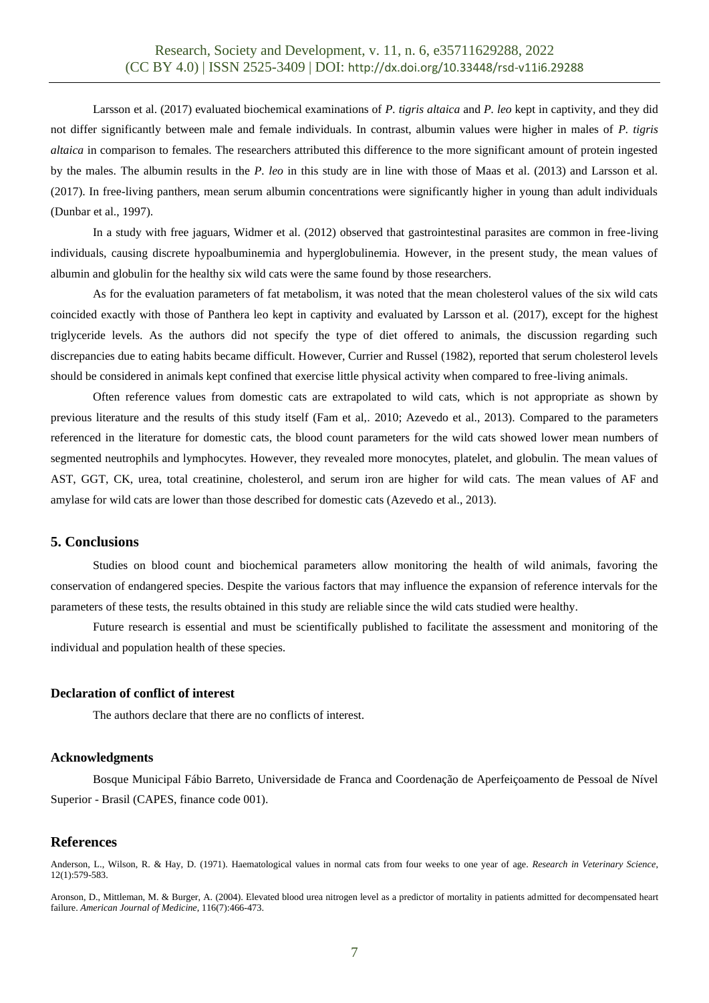Larsson et al. (2017) evaluated biochemical examinations of *P. tigris altaica* and *P. leo* kept in captivity, and they did not differ significantly between male and female individuals. In contrast, albumin values were higher in males of *P. tigris altaica* in comparison to females. The researchers attributed this difference to the more significant amount of protein ingested by the males. The albumin results in the *P. leo* in this study are in line with those of Maas et al. (2013) and Larsson et al. (2017). In free-living panthers, mean serum albumin concentrations were significantly higher in young than adult individuals (Dunbar et al., 1997).

In a study with free jaguars, Widmer et al. (2012) observed that gastrointestinal parasites are common in free-living individuals, causing discrete hypoalbuminemia and hyperglobulinemia. However, in the present study, the mean values of albumin and globulin for the healthy six wild cats were the same found by those researchers.

As for the evaluation parameters of fat metabolism, it was noted that the mean cholesterol values of the six wild cats coincided exactly with those of Panthera leo kept in captivity and evaluated by Larsson et al*.* (2017), except for the highest triglyceride levels. As the authors did not specify the type of diet offered to animals, the discussion regarding such discrepancies due to eating habits became difficult. However, Currier and Russel (1982), reported that serum cholesterol levels should be considered in animals kept confined that exercise little physical activity when compared to free-living animals.

Often reference values from domestic cats are extrapolated to wild cats, which is not appropriate as shown by previous literature and the results of this study itself (Fam et al,*.* 2010; Azevedo et al., 2013). Compared to the parameters referenced in the literature for domestic cats, the blood count parameters for the wild cats showed lower mean numbers of segmented neutrophils and lymphocytes. However, they revealed more monocytes, platelet, and globulin. The mean values of AST, GGT, CK, urea, total creatinine, cholesterol, and serum iron are higher for wild cats. The mean values of AF and amylase for wild cats are lower than those described for domestic cats (Azevedo et al., 2013).

## **5. Conclusions**

Studies on blood count and biochemical parameters allow monitoring the health of wild animals, favoring the conservation of endangered species. Despite the various factors that may influence the expansion of reference intervals for the parameters of these tests, the results obtained in this study are reliable since the wild cats studied were healthy.

Future research is essential and must be scientifically published to facilitate the assessment and monitoring of the individual and population health of these species.

#### **Declaration of conflict of interest**

The authors declare that there are no conflicts of interest.

#### **Acknowledgments**

Bosque Municipal Fábio Barreto, Universidade de Franca and Coordenação de Aperfeiçoamento de Pessoal de Nível Superior - Brasil (CAPES, finance code 001).

#### **References**

Anderson, L., Wilson, R. & Hay, D. (1971). Haematological values in normal cats from four weeks to one year of age. *Research in Veterinary Science*, 12(1):579-583.

Aronson, D., Mittleman, M. & Burger, A. (2004). Elevated blood urea nitrogen level as a predictor of mortality in patients admitted for decompensated heart failure. *American Journal of Medicine*, 116(7):466-473.